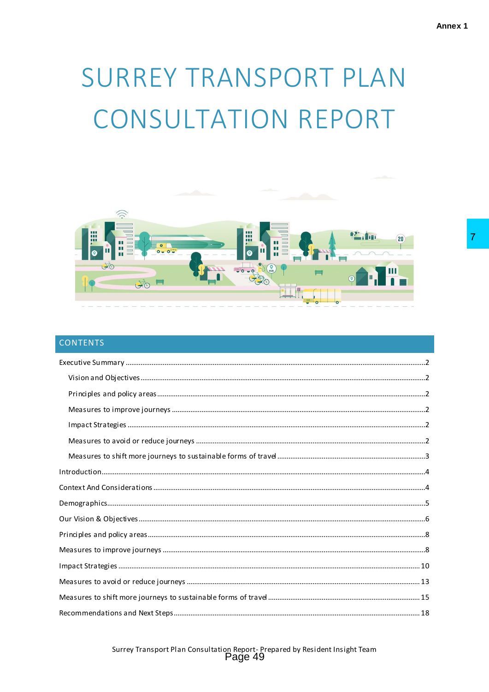# SURREY TRANSPORT PLAN **CONSULTATION REPORT**



# **CONTENTS**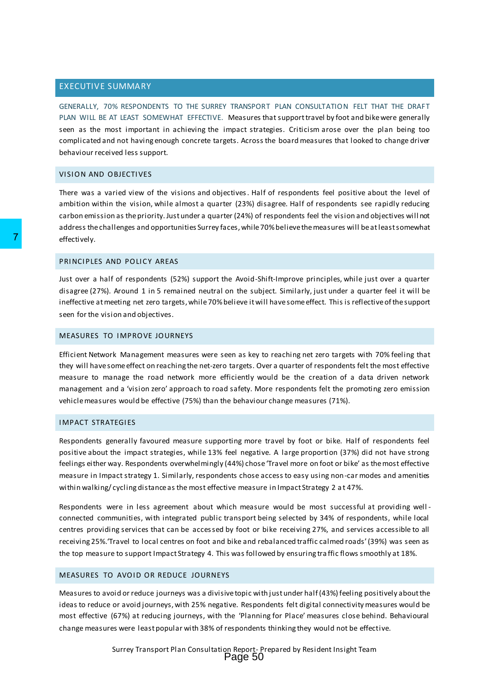# <span id="page-1-0"></span>EXECUTIVE SUMMARY

GENERALLY, 70% RESPONDENTS TO THE SURREY TRANSPORT PLAN CONSULTATION FELT THAT THE DRAFT PLAN WILL BE AT LEAST SOMEWHAT EFFECTIVE. Measures that support travel by foot and bike were generally seen as the most important in achieving the impact strategies. Criticism arose over the plan being too complicated and not having enough concrete targets. Across the board measures that looked to change driver behaviour received less support.

#### <span id="page-1-1"></span>VISION AND OBJECTIVES

There was a varied view of the visions and objectives. Half of respondents feel positive about the level of ambition within the vision, while almost a quarter (23%) disagree. Half of respondents see rapidly reducing carbon emission as the priority. Just under a quarter (24%) of respondents feel the vision and objectives will not address the challenges and opportunities Surrey faces, while 70% believe the measures will be at least somewhat effectively.

## <span id="page-1-2"></span>PRINCIPLES AND POLICY AREAS

Just over a half of respondents (52%) support the Avoid-Shift-Improve principles, while just over a quarter disagree (27%). Around 1 in 5 remained neutral on the subject. Similarly, just under a quarter feel it will be ineffective at meeting net zero targets, while 70% believe it will have some effect. This is reflective of the support seen for the vision and objectives.

#### <span id="page-1-3"></span>MEASURES TO I MPROVE JOURNEYS

Efficient Network Management measures were seen as key to reaching net zero targets with 70% feeling that they will have some effect on reaching the net-zero targets. Over a quarter of respondents felt the most effective measure to manage the road network more efficiently would be the creation of a data driven network management and a 'vision zero' approach to road safety. More respondents felt the promoting zero emission vehicle measures would be effective (75%) than the behaviour change measures (71%).

#### <span id="page-1-4"></span>IMPACT STRATEGIES

Respondents generally favoured measure supporting more travel by foot or bike. Half of respondents feel positive about the impact strategies, while 13% feel negative. A large proportion (37%) did not have strong feelings either way. Respondents overwhelmingly (44%) chose 'Travel more on foot or bike' as the most effective measure in Impact strategy 1. Similarly, respondents chose access to easy using non-car modes and amenities within walking/ cycling distance as the most effective measure in Impact Strategy 2 a t 47%. FIRICIPEL AND POLICY AREAS<br>
Just over a half of respondents (52%) support the Avoid-Si<br>
disagree (27%). Around 1 in 5 remained neutral on the subjective<br>
ineffective atmeeting net zero targets, while 70% believe it will<br>
s

Respondents were in less agreement about which measure would be most successful at providing well connected communities, with integrated public transport being selected by 34% of respondents, while local centres providing services that can be accessed by foot or bike receiving 27%, and services accessible to all receiving 25%.'Travel to local centres on foot and bike and rebalanced traffic calmed roads' (39%) was seen as the top measure to support Impact Strategy 4. This was followed by ensuring tra ffic flows smoothly at 18%.

## <span id="page-1-5"></span>MEASURES TO AVOID OR REDUCE JOURNEYS

Measures to avoid or reduce journeys was a divisive topic with just under half (43%) feeling positively about the ideas to reduce or avoid journeys, with 25% negative. Respondents felt digital connectivity measures would be most effective (67%) at reducing journeys, with the 'Planning for Place' measures close behind. Behavioural change measures were least popular with 38% of respondents thinking they would not be effective.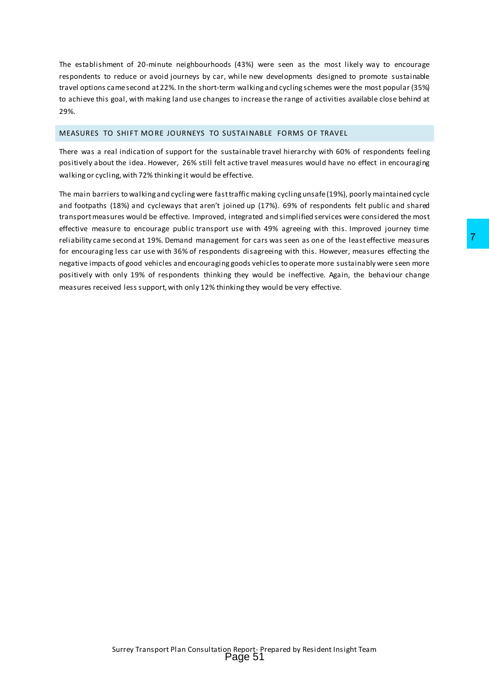The establishment of 20-minute neighbourhoods (43%) were seen as the most likely way to encourage respondents to reduce or avoid journeys by car, while new developments designed to promote sustainable travel options came second at 22%. In the short-term walking and cycling schemes were the most popular (35%) to achieve this goal, with making land use changes to increase the range of activities available close behind at 29%.

# <span id="page-2-0"></span>MEASURES TO SHIFT MORE JOURNEYS TO SUSTAINABLE FORMS OF TRAVEL

There was a real indication of support for the sustainable travel hierarchy with 60% of respondents feeling positively about the idea. However, 26% still felt active travel measures would have no effect in encouraging walking or cycling, with 72% thinking it would be effective.

The main barriers to walking and cycling were fast traffic making cycling unsafe (19%), poorly maintained cycle and footpaths (18%) and cycleways that aren't joined up (17%). 69% of respondents felt public and shared transport measures would be effective. Improved, integrated and simplified services were considered the most effective measure to encourage public transport use with 49% agreeing with this. Improved journey time reliability came second at 19%. Demand management for cars was seen as one of the least effective measures for encouraging less car use with 36% of respondents disagreeing with this. However, measures effecting the negative impacts of good vehicles and encouraging goods vehicles to operate more sustainably were seen more positively with only 19% of respondents thinking they would be ineffective. Again, the behaviour change measures received less support, with only 12% thinking they would be very effective. ment for cars was seen as one of the least effective measures<br>
ersuch stiagreleing with this . However, measures effecting the<br>
egoods vehicles to operate more sustainably were seen more<br>
ig they would be ineffective. Agai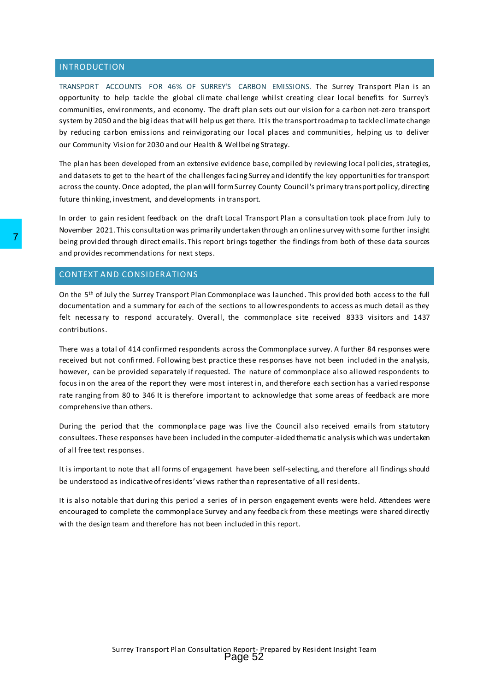## <span id="page-3-0"></span>INTRODUCTION

TRANSPORT ACCOUNTS FOR 46% OF SURREY'S CARBON EMISSIONS. The Surrey Transport Plan is an opportunity to help tackle the global climate challenge whilst creating clear local benefits for Surrey's communities, environments, and economy. The draft plan sets out our vision for a carbon net-zero transport system by 2050 and the big ideas that will help us get there. Itis the transport roadmap to tackle climate change by reducing carbon emissions and reinvigorating our local places and communities, helping us to deliver our Community Vision for 2030 and our Health & Wellbeing Strategy.

The plan has been developed from an extensive evidence base, compiled by reviewing local policies, strategies, and datasets to get to the heart of the challenges facing Surrey and identify the key opportunities for transport across the county. Once adopted, the plan will form Surrey County Council's primary transport policy, directing future thinking, investment, and developments in transport.

In order to gain resident feedback on the draft Local Transport Plan a consultation took place from July to November 2021. This consultation was primarily undertaken through an online survey with some further insight being provided through direct emails. This report brings together the findings from both of these data sources and provides recommendations for next steps.

## <span id="page-3-1"></span>CONTEXT AND CONSIDERATIONS

On the 5<sup>th</sup> of July the Surrey Transport Plan Commonplace was launched. This provided both access to the full documentation and a summary for each of the sections to allow respondents to access as much detail as they felt necessary to respond accurately. Overall, the commonplace site received 8333 visitors and 1437 contributions.

There was a total of 414 confirmed respondents across the Commonplace survey. A further 84 responses were received but not confirmed. Following best practice these responses have not been included in the analysis, however, can be provided separately if requested. The nature of commonplace also allowed respondents to focus in on the area of the report they were most interest in, and therefore each section has a varied response rate ranging from 80 to 346 It is therefore important to acknowledge that some areas of feedback are more comprehensive than others. Their growlded through direct emails. This report brings toge<br>
and provides recommendations for next steps.<br>
CONTEXT AND CONSIDERATIONS<br>
On the 5<sup>th</sup> of July the Surrey Transport Plan Commonplace we<br>
decumentation and a su

During the period that the commonplace page was live the Council also received emails from statutory consultees. These responses have been included in the computer-aided thematic analysis which was undertaken of all free text responses.

It is important to note that all forms of engagement have been self-selecting, and therefore all findings should be understood as indicative of residents' views rather than representative of all residents.

It is also notable that during this period a series of in person engagement events were held. Attendees were encouraged to complete the commonplace Survey and any feedback from these meetings were shared directly with the design team and therefore has not been included in this report.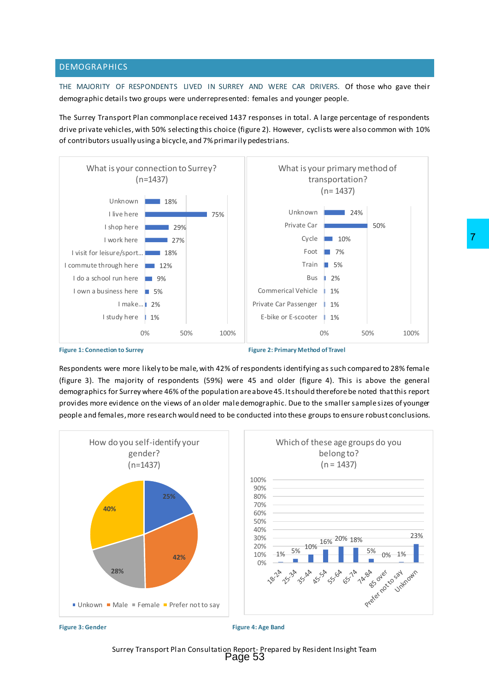## <span id="page-4-0"></span>DEMOGRAPHICS

THE MAJORITY OF RESPONDENTS LIVED IN SURREY AND WERE CAR DRIVERS. Of those who gave their demographic details two groups were underrepresented: females and younger people.

The Surrey Transport Plan commonplace received 1437 responses in total. A large percentage of respondents drive private vehicles, with 50% selecting this choice (figure 2). However, cyclists were also common with 10% of contributors usually using a bicycle, and 7% primarily pedestrians.





**Figure 1: Connection to Surrey Figure 2: Primary Method of Travel** 

Respondents were more likely to be male, with 42% of respondents identifying as such compared to 28% female (figure 3). The majority of respondents (59%) were 45 and older (figure 4). This is above the general demographics for Surrey where 46% of the population are above 45. It should therefore be noted that this report provides more evidence on the views of an older male demographic. Due to the smaller sample sizes of younger people and females, more research would need to be conducted into these groups to ensure robust conclusions.



Surrey Transport Plan Consultation Report- Prepared by Resident Insight Team<br>Page 53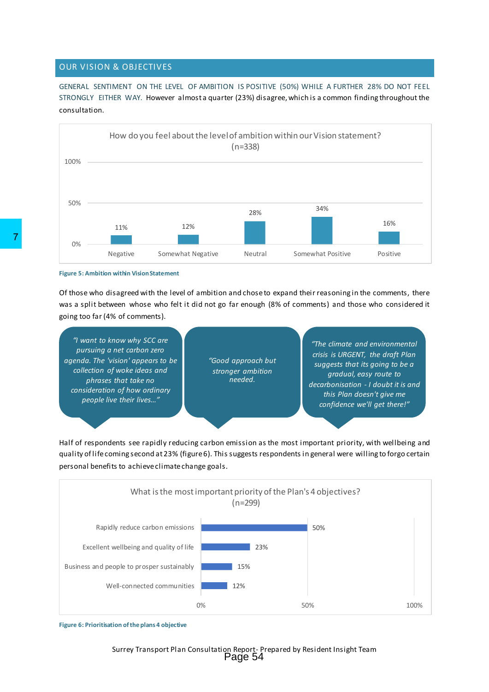## <span id="page-5-0"></span>OUR VISION & OBJECTIVES

GENERAL SENTIMENT ON THE LEVEL OF AMBITION IS POSITIVE (50%) WHILE A FURTHER 28% DO NOT FEEL STRONGLY EITHER WAY. However almost a quarter (23%) disagree, which is a common finding throughout the consultation.



Of those who disagreed with the level of ambition and chose to expand their reasoning in the comments, there was a split between whose who felt it did not go far enough (8% of comments) and those who considered it going too far (4% of comments).



Half of respondents see rapidly reducing carbon emission as the most important priority, with wellbeing and quality of life coming second at 23% (figure 6). This suggests respondents in general were willing to forgo certain personal benefits to achieve climate change goals.



**Figure 6: Prioritisation of the plans 4 objective**

**Figure 5: Ambition within Vision Statement**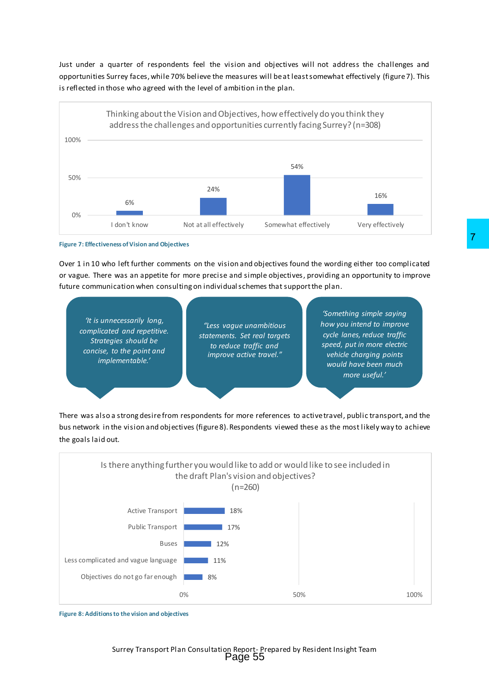Just under a quarter of respondents feel the vision and objectives will not address the challenges and opportunities Surrey faces, while 70% believe the measures will be at least somewhat effectively (figure 7). This is reflected in those who agreed with the level of ambition in the plan.





Over 1 in 10 who left further comments on the vision and objectives found the wording either too complicated or vague. There was an appetite for more precise and simple objectives, providing an opportunity to improve future communication when consulting on individual schemes that support the plan.

*'It is unnecessarily long, complicated and repetitive. Strategies should be concise, to the point and implementable.'*

*"Less vague unambitious statements. Set real targets to reduce traffic and improve active travel."*

*'Something simple saying how you intend to improve cycle lanes, reduce traffic speed, put in more electric vehicle charging points would have been much more useful.'*

There was also a strong desire from respondents for more references to active travel, public transport, and the bus network in the vision and objectives (figure8). Respondents viewed these as the most likely way to achieve the goals laid out.



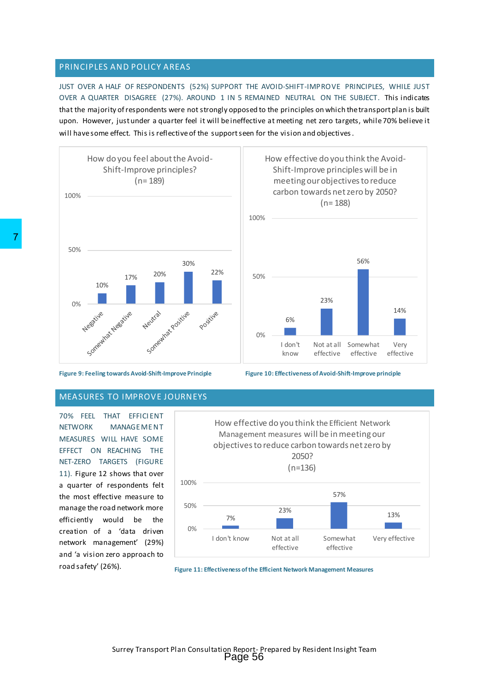#### <span id="page-7-0"></span>PRINCIPLES AND POLICY AREAS

JUST OVER A HALF OF RESPONDENTS (52%) SUPPORT THE AVOID-SHIFT-IMPROVE PRINCIPLES, WHILE JUST OVER A QUARTER DISAGREE (27%). AROUND 1 IN 5 REMAINED NEUTRAL ON THE SUBJECT. This indicates that the majority of respondents were not strongly opposed to the principles on which the transport plan is built upon. However, just under a quarter feel it will be ineffective at meeting net zero targets, while 70% believe it will have some effect. This is reflective of the support seen for the vision and objectives.





effective

23%

How effective do you think the Avoid-Shift-Improve principleswill be in meeting our objectives to reduce carbon towards net zero by 2050? (n= 188)

Not at all Somewhat

effective

56%

14%

Very effective

6%

I don't know

0%

50%

100%

#### <span id="page-7-1"></span>MEASURES TO IMPROVE JOURNEYS

70% FEEL THAT EFFICI ENT NETWORK MANAGEMENT MEASURES WILL HAVE SOME EFFECT ON REACHING THE NET-ZERO TARGETS (FIGURE 11). Figure 12 shows that over a quarter of respondents felt the most effective measure to manage the road network more efficiently would be the creation of a 'data driven network management' (29%) and 'a vision zero approach to road safety' (26%).



**Figure 11: Effectiveness of the Efficient Network Management Measures**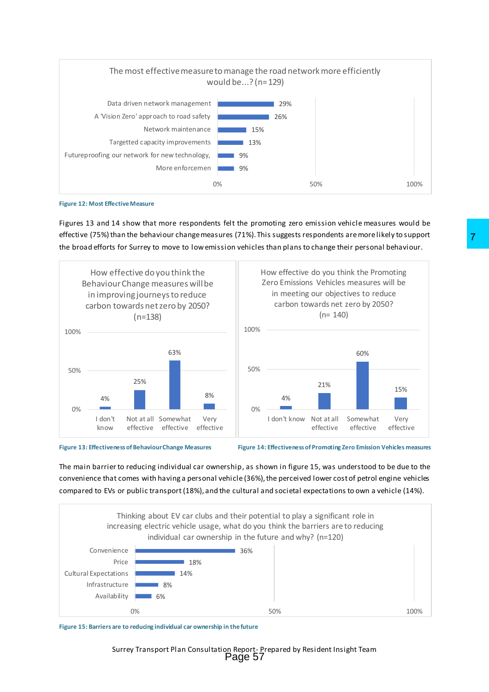



Figures 13 and 14 show that more respondents felt the promoting zero emission vehicle measures would be effective (75%) than the behaviour change measures (71%). This suggests respondents are more likely to support the broad efforts for Surrey to move to low emission vehicles than plans to change their personal behaviour.



**Figure 13: Effectiveness of Behaviour Change Measures Figure 14: Effectiveness of Promoting Zero Emission Vehicles measures**

The main barrier to reducing individual car ownership, as shown in figure 15, was understood to be due to the convenience that comes with having a personal vehicle (36%), the perceived lower cost of petrol engine vehicles compared to EVs or public transport (18%), and the cultural and societal expectations to own a vehicle (14%).



**Figure 15: Barriers are to reducing individual car ownership in the future**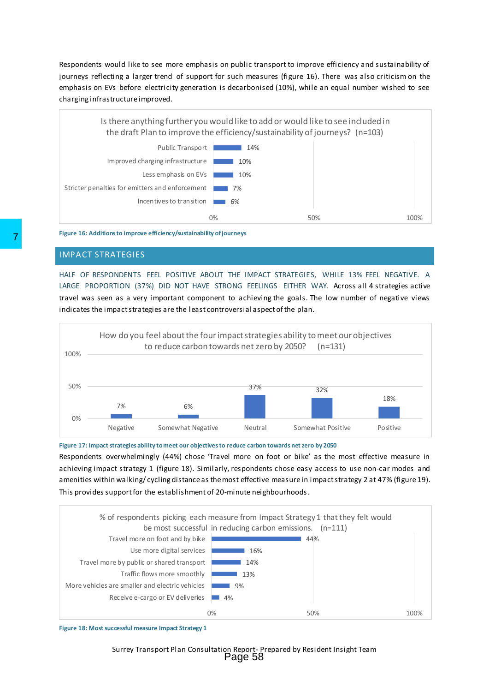Respondents would like to see more emphasis on public transport to improve efficiency and sustainability of journeys reflecting a larger trend of support for such measures (figure 16). There was also criticism on the emphasis on EVs before electricity generation is decarbonised (10%), while an equal number wished to see charging infrastructure improved.



**Figure 16: Additions to improve efficiency/sustainability of journeys**

#### <span id="page-9-0"></span>IMPACT STRATEGIES

HALF OF RESPONDENTS FEEL POSITIVE ABOUT THE IMPACT STRATEGIES, WHILE 13% FEEL NEGATIVE. A LARGE PROPORTION (37%) DID NOT HAVE STRONG FEELINGS EITHER WAY. Across all 4 strategies active travel was seen as a very important component to achieving the goals. The low number of negative views indicates the impact strategies are the least controversial aspect of the plan.



**Figure 17: Impact strategies ability to meet our objectives to reduce carbon towards net zero by 2050**

Respondents overwhelmingly (44%) chose 'Travel more on foot or bike' as the most effective measure in achieving impact strategy 1 (figure 18). Similarly, respondents chose easy access to use non-car modes and amenities within walking/ cycling distance as the most effective measure in impact strategy 2 at 47% (figure 19). This provides support for the establishment of 20-minute neighbourhoods.



**Figure 18: Most successful measure Impact Strategy 1**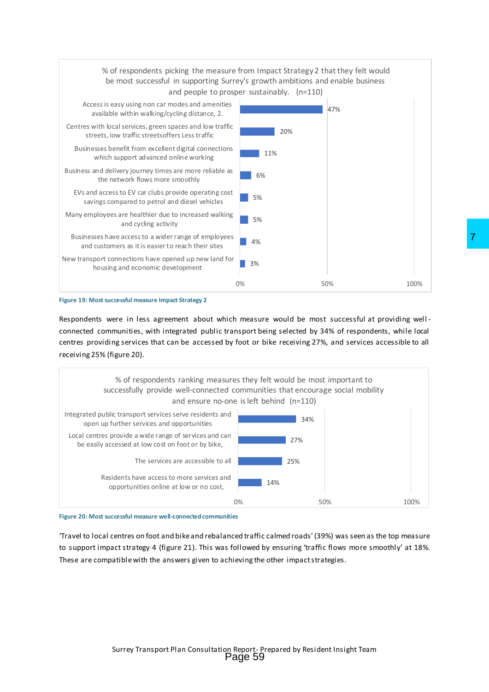



Respondents were in less agreement about which measure would be most successful at providing well connected communities, with integrated public transport being selected by 34% of respondents, while local centres providing services that can be accessed by foot or bike receiving 27%, and services accessible to all receiving 25% (figure 20).





'Travel to local centres on foot and bike and rebalanced traffic calmed roads' (39%) was seen as the top measure to support impact strategy 4 (figure 21). This was followed by ensuring 'traffic flows more smoothly' at 18%. These are compatible with the answers given to achieving the other impact strategies.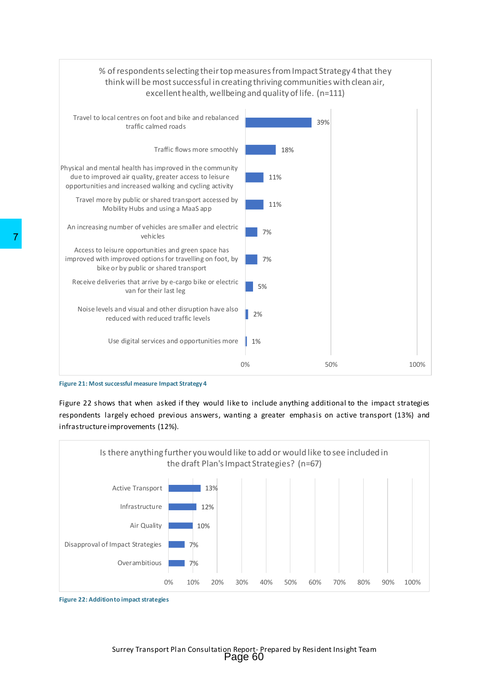



Figure 22 shows that when asked if they would like to include anything additional to the impact strategies respondents largely echoed previous answers, wanting a greater emphasis on active transport (13%) and infrastructure improvements (12%).



**Figure 22: Addition to impact strategies**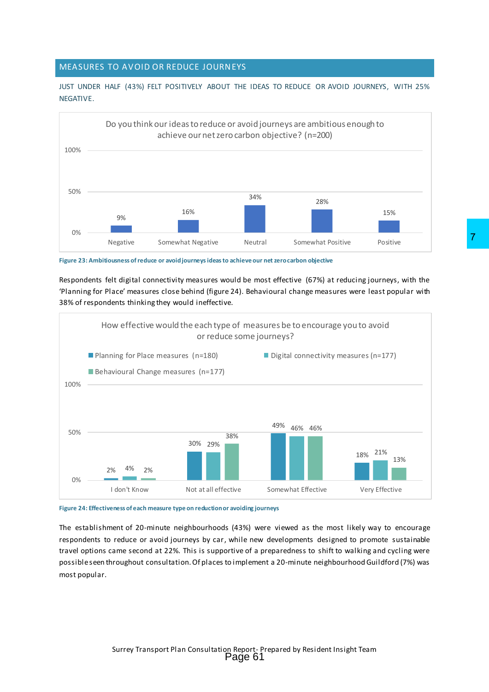# <span id="page-12-0"></span>MEASURES TO AVOID OR REDUCE JOURNEYS

JUST UNDER HALF (43%) FELT POSITIVELY ABOUT THE IDEAS TO REDUCE OR AVOID JOURNEYS, WITH 25% NEGATIVE.



**Figure 23: Ambitiousness of reduce or avoid journeysideasto achieve our net zero carbon objective**

Respondents felt digital connectivity measures would be most effective (67%) at reducing journeys, with the 'Planning for Place' measures close behind (figure 24). Behavioural change measures were least popular with 38% of respondents thinking they would ineffective.



**Figure 24: Effectiveness of each measure type on reduction or avoiding journeys**

The establishment of 20-minute neighbourhoods (43%) were viewed as the most likely way to encourage respondents to reduce or avoid journeys by car, while new developments designed to promote sustainable travel options came second at 22%. This is supportive of a preparedness to shift to walking and cycling were possible seen throughout consultation. Of places to implement a 20-minute neighbourhood Guildford (7%) was most popular.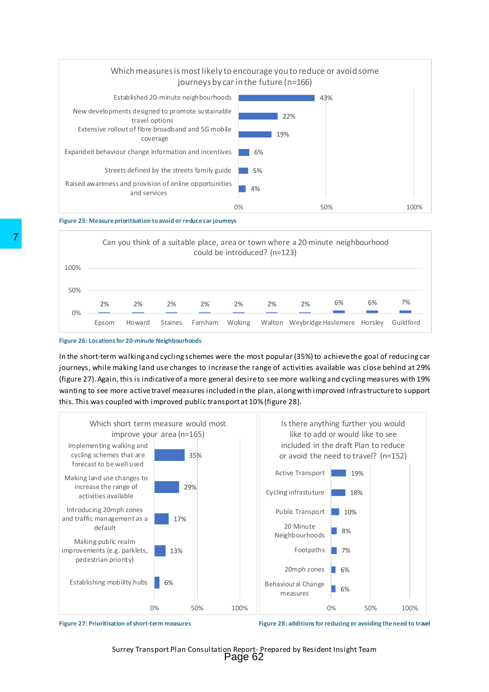

#### **Figure 25: Measure prioritisation to avoid or reduce car journeys**





In the short-term walking and cycling schemes were the most popular (35%) to achieve the goal of reducing car journeys, while making land use changes to increase the range of activities available was close behind at 29% (figure 27). Again, this is indicative of a more general desire to see more walking and cycling measures with 19% wanting to see more active travel measures included in the plan, along with improved infrastructure to support this. This was coupled with improved public transport at 10%(figure 28).





Figure 27: Prioritisation of short-term measures **Figure 28: additions for reducing or avoiding the need to travel**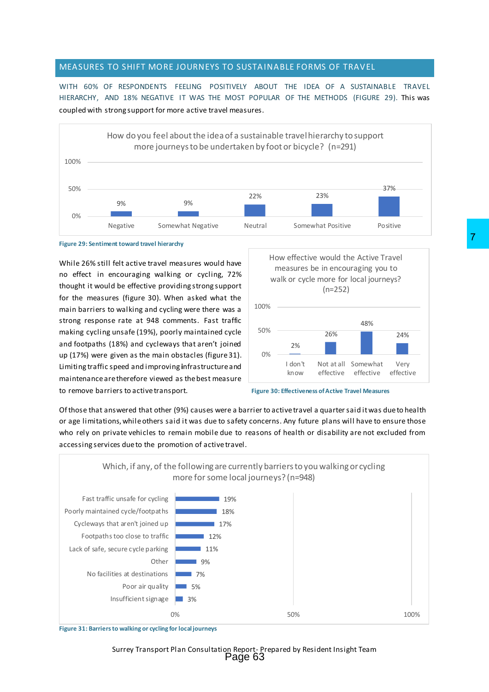#### <span id="page-14-0"></span>MEASURES TO SHIFT MORE JOURNEYS TO SUSTAINABLE FORMS OF TRAVEL

WITH 60% OF RESPONDENTS FEELING POSITIVELY ABOUT THE IDEA OF A SUSTAINABLE TRAVEL HIERARCHY, AND 18% NEGATIVE IT WAS THE MOST POPULAR OF THE METHODS (FIGURE 29). This was coupled with strong support for more active travel measures.



#### **Figure 29: Sentiment toward travel hierarchy**

While 26% still felt active travel measures would have no effect in encouraging walking or cycling, 72% thought it would be effective providing strong support for the measures (figure 30). When asked what the main barriers to walking and cycling were there was a strong response rate at 948 comments. Fast traffic making cycling unsafe (19%), poorly maintained cycle and footpaths (18%) and cycleways that aren't joined up (17%) were given as the main obstacles (figure 31). Limiting traffic speed and improving **i**nfrastructure and maintenance are therefore viewed as the best measure to remove barriers to active transport.





Of those that answered that other (9%) causes were a barrier to active travel a quarter said it was due to health or age limitations, while others said it was due to safety concerns. Any future plans will have to ensure those who rely on private vehicles to remain mobile due to reasons of health or disability are not excluded from accessing services due to the promotion of active travel.



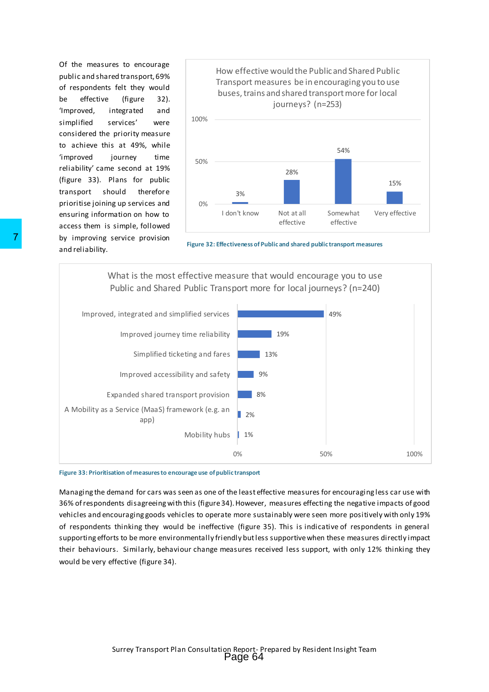Of the measures to encourage public and shared transport, 69% of respondents felt they would be effective (figure 32). 'Improved, integrated and simplified services' were considered the priority measure to achieve this at 49%, while 'improved journey time reliability' came second at 19% (figure 33). Plans for public transport should therefore prioritise joining up services and ensuring information on how to access them is simple, followed by improving service provision and reliability.



**Figure 32: Effectiveness of Public and shared public transport measures**

What is the most effective measure that would encourage you to use Public and Shared Public Transport more for local journeys? (n=240)



#### **Figure 33: Prioritisation of measures to encourage use of public transport**

Managing the demand for cars was seen as one of the least effective measures for encouraging less car use with 36% of respondents disagreeing with this (figure 34). However, measures effecting the negative impacts of good vehicles and encouraging goods vehicles to operate more sustainably were seen more positively with only 19% of respondents thinking they would be ineffective (figure 35). This is indicative of respondents in general supporting efforts to be more environmentally friendly but less supportive when these measures directly impact their behaviours. Similarly, behaviour change measures received less support, with only 12% thinking they would be very effective (figure 34).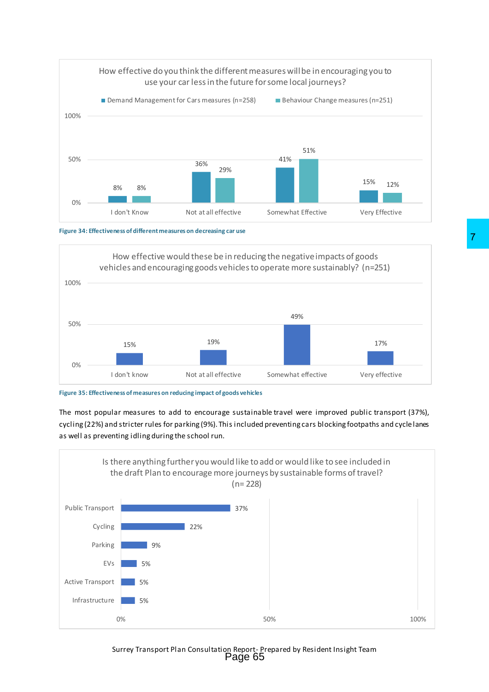





**Figure 35: Effectiveness of measures on reducing impact of goods vehicles**

The most popular measures to add to encourage sustainable travel were improved public transport (37%), cycling (22%) and stricter rules for parking (9%). This included preventing cars blocking footpaths and cycle lanes as well as preventing idling during the school run.